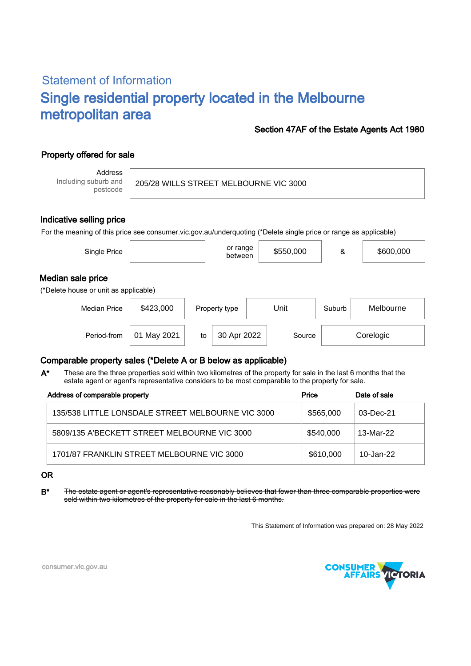# Statement of Information Single residential property located in the Melbourne metropolitan area

#### Section 47AF of the Estate Agents Act 1980

## Property offered for sale

Address Including suburb and postcode

205/28 WILLS STREET MELBOURNE VIC 3000

#### Indicative selling price

For the meaning of this price see consumer.vic.gov.au/underquoting (\*Delete single price or range as applicable)

| Single Price                                               |             |    | or range<br>between |      | \$550,000 | &         | \$600,000 |  |
|------------------------------------------------------------|-------------|----|---------------------|------|-----------|-----------|-----------|--|
| Median sale price<br>(*Delete house or unit as applicable) |             |    |                     |      |           |           |           |  |
| <b>Median Price</b>                                        | \$423,000   |    | Property type       | Unit |           | Suburb    | Melbourne |  |
| Period-from                                                | 01 May 2021 | to | 30 Apr 2022         |      | Source    | Corelogic |           |  |

### Comparable property sales (\*Delete A or B below as applicable)

These are the three properties sold within two kilometres of the property for sale in the last 6 months that the estate agent or agent's representative considers to be most comparable to the property for sale. A\*

| Address of comparable property                    | Price     | Date of sale |  |
|---------------------------------------------------|-----------|--------------|--|
| 135/538 LITTLE LONSDALE STREET MELBOURNE VIC 3000 | \$565,000 | 03-Dec-21    |  |
| 5809/135 A'BECKETT STREET MELBOURNE VIC 3000      | \$540.000 | 13-Mar-22    |  |
| 1701/87 FRANKLIN STREET MELBOURNE VIC 3000        | \$610,000 | 10-Jan-22    |  |

#### OR

B\* The estate agent or agent's representative reasonably believes that fewer than three comparable properties were sold within two kilometres of the property for sale in the last 6 months.

This Statement of Information was prepared on: 28 May 2022



consumer.vic.gov.au